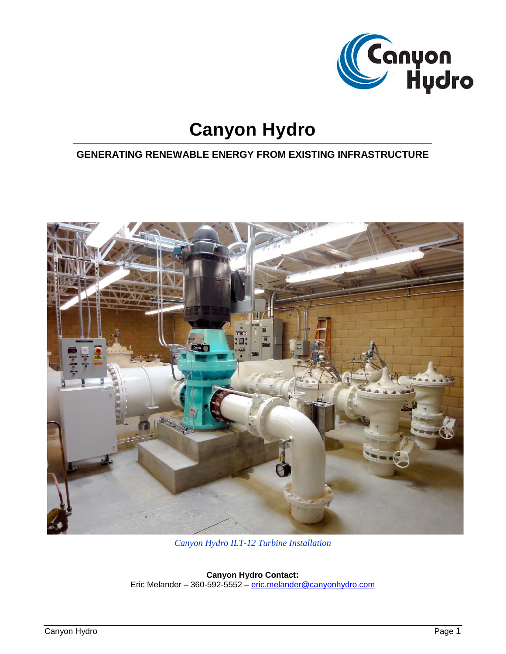

# **Canyon Hydro**

## **GENERATING RENEWABLE ENERGY FROM EXISTING INFRASTRUCTURE**



*Canyon Hydro ILT-12 Turbine Installation*

**Canyon Hydro Contact:** Eric Melander – 360-592-5552 – [eric.melander@canyonhydro.com](mailto:eric.melander@canyonhydro.com)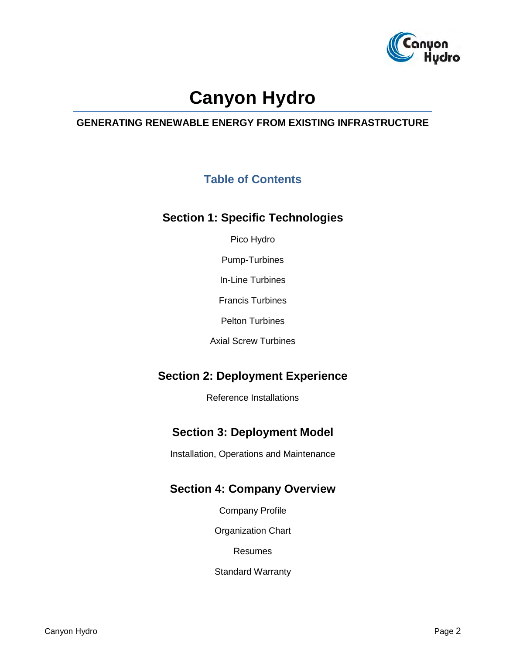

# **Canyon Hydro**

### **GENERATING RENEWABLE ENERGY FROM EXISTING INFRASTRUCTURE**

## **Table of Contents**

## **Section 1: Specific Technologies**

Pico Hydro

Pump-Turbines

In-Line Turbines

Francis Turbines

Pelton Turbines

Axial Screw Turbines

## **Section 2: Deployment Experience**

Reference Installations

## **Section 3: Deployment Model**

Installation, Operations and Maintenance

### **Section 4: Company Overview**

Company Profile

Organization Chart

Resumes

Standard Warranty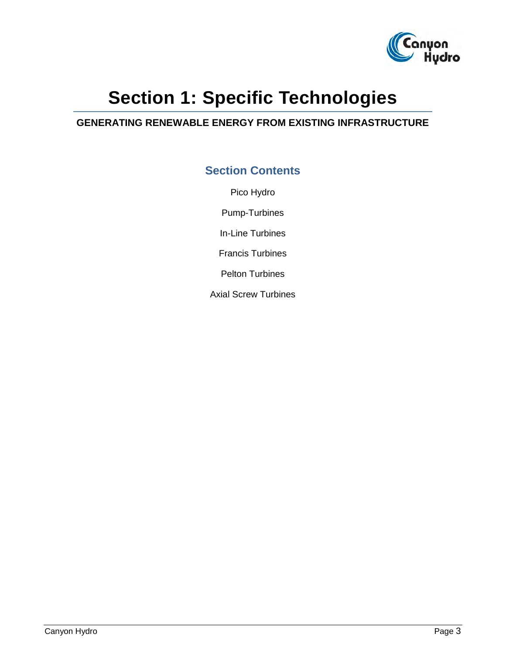

# **Section 1: Specific Technologies**

### **GENERATING RENEWABLE ENERGY FROM EXISTING INFRASTRUCTURE**

## **Section Contents**

Pico Hydro Pump-Turbines In-Line Turbines Francis Turbines Pelton Turbines Axial Screw Turbines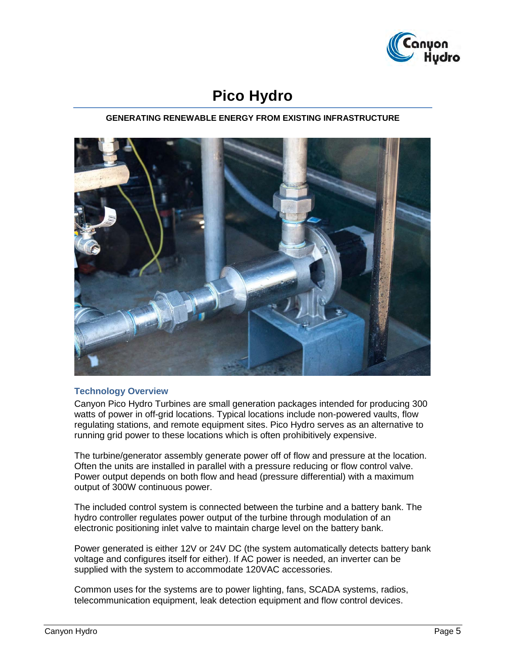

## **Pico Hydro**

#### **GENERATING RENEWABLE ENERGY FROM EXISTING INFRASTRUCTURE**



#### **Technology Overview**

Canyon Pico Hydro Turbines are small generation packages intended for producing 300 watts of power in off-grid locations. Typical locations include non-powered vaults, flow regulating stations, and remote equipment sites. Pico Hydro serves as an alternative to running grid power to these locations which is often prohibitively expensive.

The turbine/generator assembly generate power off of flow and pressure at the location. Often the units are installed in parallel with a pressure reducing or flow control valve. Power output depends on both flow and head (pressure differential) with a maximum output of 300W continuous power.

The included control system is connected between the turbine and a battery bank. The hydro controller regulates power output of the turbine through modulation of an electronic positioning inlet valve to maintain charge level on the battery bank.

Power generated is either 12V or 24V DC (the system automatically detects battery bank voltage and configures itself for either). If AC power is needed, an inverter can be supplied with the system to accommodate 120VAC accessories.

Common uses for the systems are to power lighting, fans, SCADA systems, radios, telecommunication equipment, leak detection equipment and flow control devices.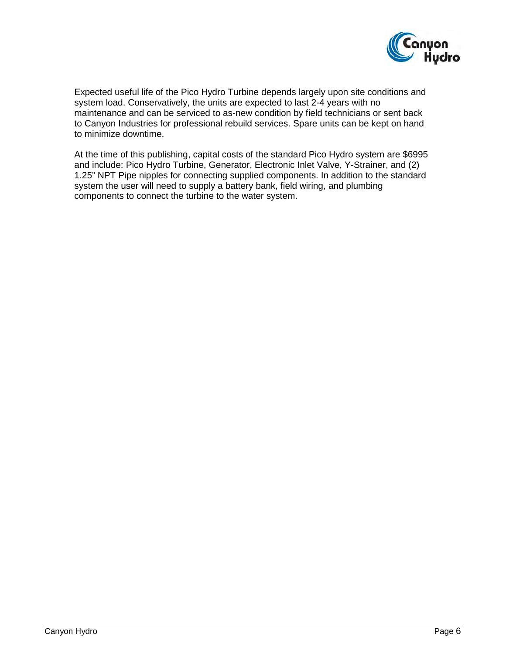

Expected useful life of the Pico Hydro Turbine depends largely upon site conditions and system load. Conservatively, the units are expected to last 2-4 years with no maintenance and can be serviced to as-new condition by field technicians or sent back to Canyon Industries for professional rebuild services. Spare units can be kept on hand to minimize downtime.

At the time of this publishing, capital costs of the standard Pico Hydro system are \$6995 and include: Pico Hydro Turbine, Generator, Electronic Inlet Valve, Y-Strainer, and (2) 1.25" NPT Pipe nipples for connecting supplied components. In addition to the standard system the user will need to supply a battery bank, field wiring, and plumbing components to connect the turbine to the water system.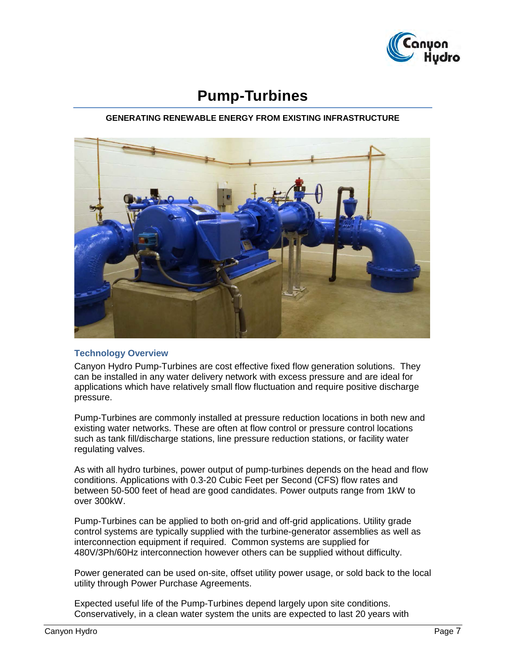

## **Pump-Turbines**

#### **GENERATING RENEWABLE ENERGY FROM EXISTING INFRASTRUCTURE**



#### **Technology Overview**

Canyon Hydro Pump-Turbines are cost effective fixed flow generation solutions. They can be installed in any water delivery network with excess pressure and are ideal for applications which have relatively small flow fluctuation and require positive discharge pressure.

Pump-Turbines are commonly installed at pressure reduction locations in both new and existing water networks. These are often at flow control or pressure control locations such as tank fill/discharge stations, line pressure reduction stations, or facility water regulating valves.

As with all hydro turbines, power output of pump-turbines depends on the head and flow conditions. Applications with 0.3-20 Cubic Feet per Second (CFS) flow rates and between 50-500 feet of head are good candidates. Power outputs range from 1kW to over 300kW.

Pump-Turbines can be applied to both on-grid and off-grid applications. Utility grade control systems are typically supplied with the turbine-generator assemblies as well as interconnection equipment if required. Common systems are supplied for 480V/3Ph/60Hz interconnection however others can be supplied without difficulty.

Power generated can be used on-site, offset utility power usage, or sold back to the local utility through Power Purchase Agreements.

Expected useful life of the Pump-Turbines depend largely upon site conditions. Conservatively, in a clean water system the units are expected to last 20 years with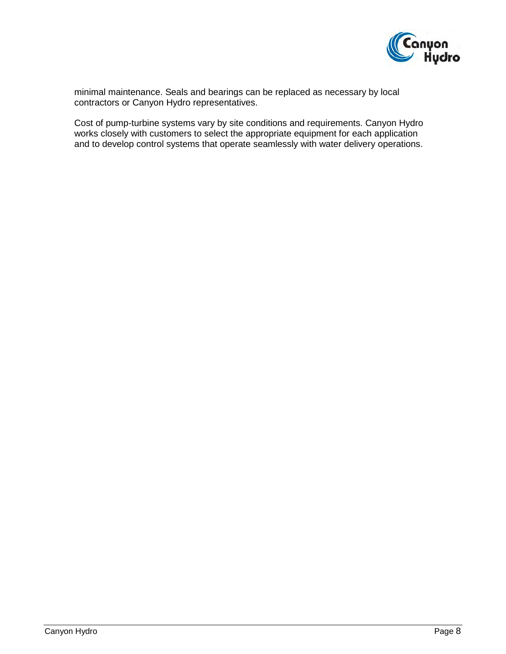

minimal maintenance. Seals and bearings can be replaced as necessary by local contractors or Canyon Hydro representatives.

Cost of pump-turbine systems vary by site conditions and requirements. Canyon Hydro works closely with customers to select the appropriate equipment for each application and to develop control systems that operate seamlessly with water delivery operations.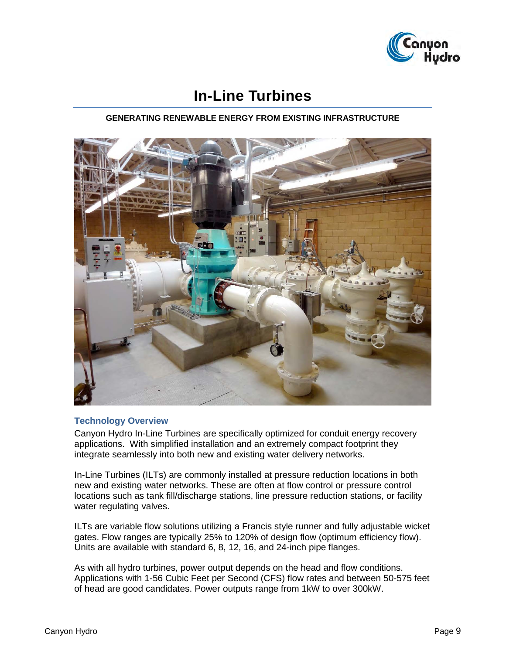

## **In-Line Turbines**

#### **GENERATING RENEWABLE ENERGY FROM EXISTING INFRASTRUCTURE**



#### **Technology Overview**

Canyon Hydro In-Line Turbines are specifically optimized for conduit energy recovery applications. With simplified installation and an extremely compact footprint they integrate seamlessly into both new and existing water delivery networks.

In-Line Turbines (ILTs) are commonly installed at pressure reduction locations in both new and existing water networks. These are often at flow control or pressure control locations such as tank fill/discharge stations, line pressure reduction stations, or facility water regulating valves.

ILTs are variable flow solutions utilizing a Francis style runner and fully adjustable wicket gates. Flow ranges are typically 25% to 120% of design flow (optimum efficiency flow). Units are available with standard 6, 8, 12, 16, and 24-inch pipe flanges.

As with all hydro turbines, power output depends on the head and flow conditions. Applications with 1-56 Cubic Feet per Second (CFS) flow rates and between 50-575 feet of head are good candidates. Power outputs range from 1kW to over 300kW.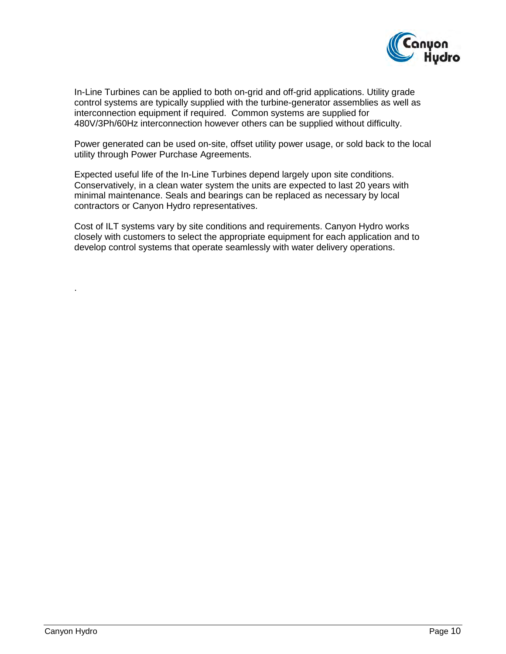

In-Line Turbines can be applied to both on-grid and off-grid applications. Utility grade control systems are typically supplied with the turbine-generator assemblies as well as interconnection equipment if required. Common systems are supplied for 480V/3Ph/60Hz interconnection however others can be supplied without difficulty.

Power generated can be used on-site, offset utility power usage, or sold back to the local utility through Power Purchase Agreements.

Expected useful life of the In-Line Turbines depend largely upon site conditions. Conservatively, in a clean water system the units are expected to last 20 years with minimal maintenance. Seals and bearings can be replaced as necessary by local contractors or Canyon Hydro representatives.

Cost of ILT systems vary by site conditions and requirements. Canyon Hydro works closely with customers to select the appropriate equipment for each application and to develop control systems that operate seamlessly with water delivery operations.

.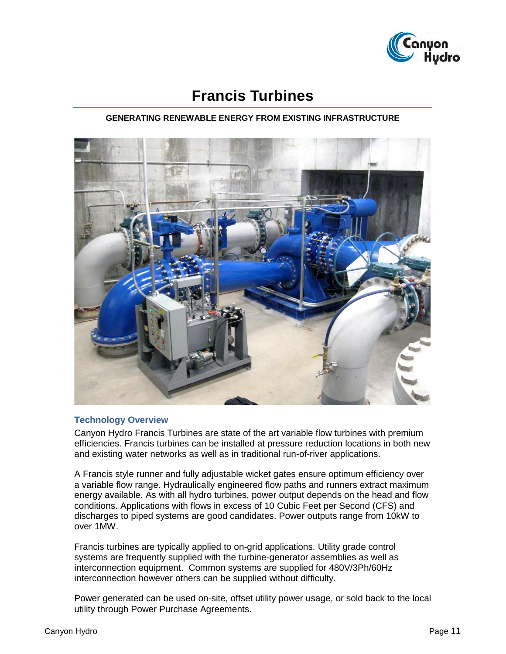

## **Francis Turbines**

#### **GENERATING RENEWABLE ENERGY FROM EXISTING INFRASTRUCTURE**



#### **Technology Overview**

Canyon Hydro Francis Turbines are state of the art variable flow turbines with premium efficiencies. Francis turbines can be installed at pressure reduction locations in both new and existing water networks as well as in traditional run-of-river applications.

A Francis style runner and fully adjustable wicket gates ensure optimum efficiency over a variable flow range. Hydraulically engineered flow paths and runners extract maximum energy available. As with all hydro turbines, power output depends on the head and flow conditions. Applications with flows in excess of 10 Cubic Feet per Second (CFS) and discharges to piped systems are good candidates. Power outputs range from 10kW to over 1MW.

Francis turbines are typically applied to on-grid applications. Utility grade control systems are frequently supplied with the turbine-generator assemblies as well as interconnection equipment. Common systems are supplied for 480V/3Ph/60Hz interconnection however others can be supplied without difficulty.

Power generated can be used on-site, offset utility power usage, or sold back to the local utility through Power Purchase Agreements.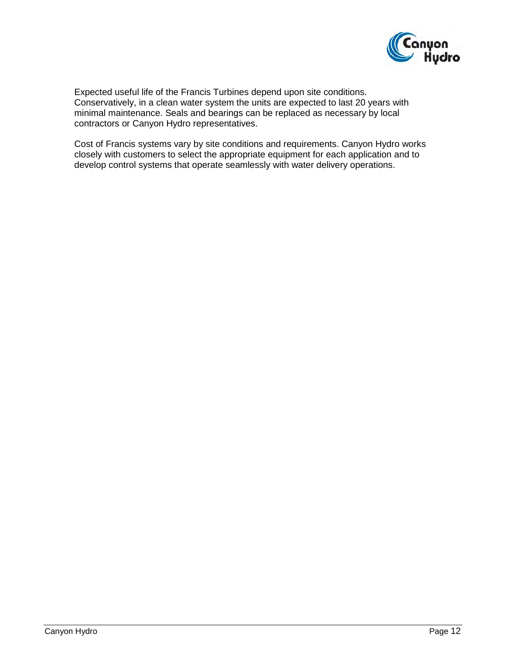

Expected useful life of the Francis Turbines depend upon site conditions. Conservatively, in a clean water system the units are expected to last 20 years with minimal maintenance. Seals and bearings can be replaced as necessary by local contractors or Canyon Hydro representatives.

Cost of Francis systems vary by site conditions and requirements. Canyon Hydro works closely with customers to select the appropriate equipment for each application and to develop control systems that operate seamlessly with water delivery operations.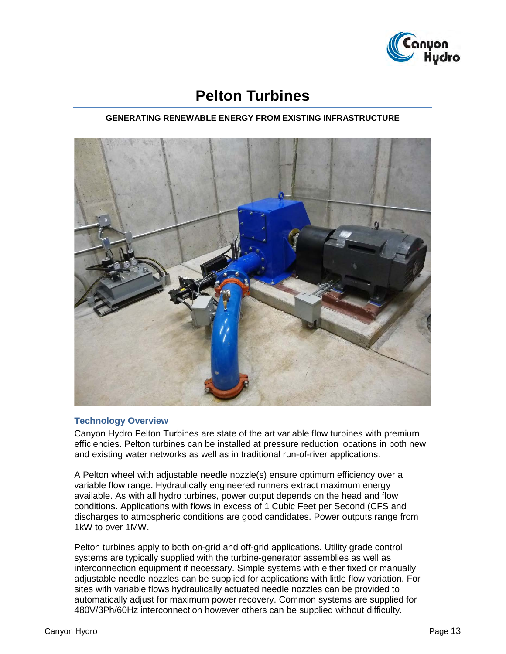

## **Pelton Turbines**

#### **GENERATING RENEWABLE ENERGY FROM EXISTING INFRASTRUCTURE**



#### **Technology Overview**

Canyon Hydro Pelton Turbines are state of the art variable flow turbines with premium efficiencies. Pelton turbines can be installed at pressure reduction locations in both new and existing water networks as well as in traditional run-of-river applications.

A Pelton wheel with adjustable needle nozzle(s) ensure optimum efficiency over a variable flow range. Hydraulically engineered runners extract maximum energy available. As with all hydro turbines, power output depends on the head and flow conditions. Applications with flows in excess of 1 Cubic Feet per Second (CFS and discharges to atmospheric conditions are good candidates. Power outputs range from 1kW to over 1MW.

Pelton turbines apply to both on-grid and off-grid applications. Utility grade control systems are typically supplied with the turbine-generator assemblies as well as interconnection equipment if necessary. Simple systems with either fixed or manually adjustable needle nozzles can be supplied for applications with little flow variation. For sites with variable flows hydraulically actuated needle nozzles can be provided to automatically adjust for maximum power recovery. Common systems are supplied for 480V/3Ph/60Hz interconnection however others can be supplied without difficulty.